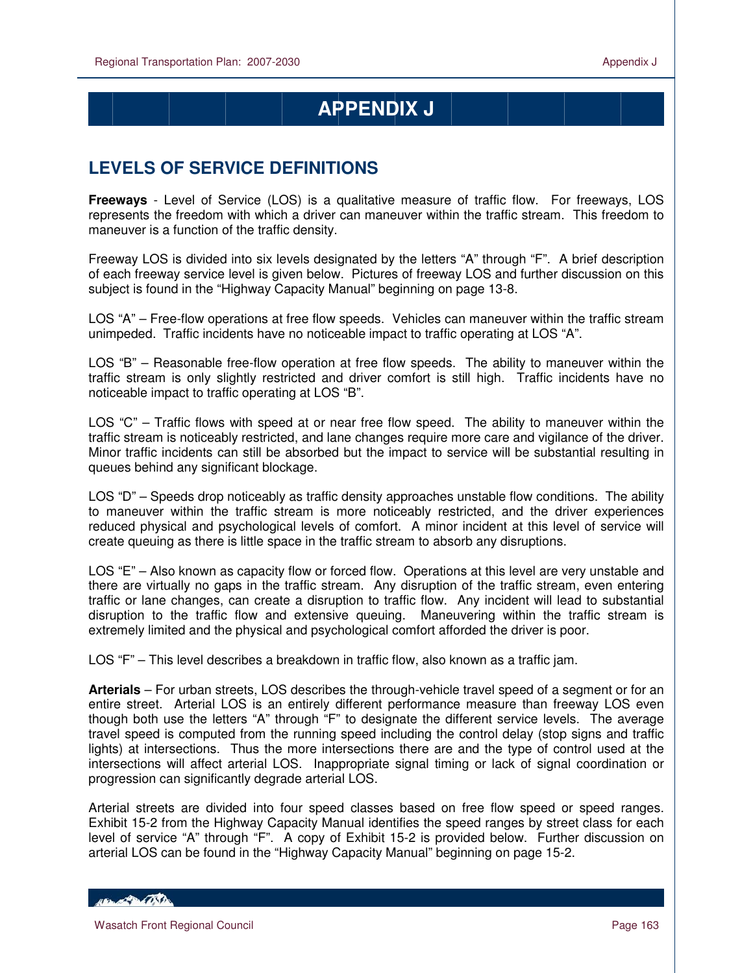$\overline{a}$ 

# **APPENDIX J**

## **LEVELS OF SERVICE DEFINITIONS**

**Freeways** - Level of Service (LOS) is a qualitative measure of traffic flow. For freeways, LOS represents the freedom with which a driver can maneuver within the traffic stream. This freedom to maneuver is a function of the traffic density.

Freeway LOS is divided into six levels designated by the letters "A" through "F". A brief description of each freeway service level is given below. Pictures of freeway LOS and further discussion on this subject is found in the "Highway Capacity Manual" beginning on page 13-8.

LOS "A" – Free-flow operations at free flow speeds. Vehicles can maneuver within the traffic stream unimpeded. Traffic incidents have no noticeable impact to traffic operating at LOS "A".

LOS "B" – Reasonable free-flow operation at free flow speeds. The ability to maneuver within the traffic stream is only slightly restricted and driver comfort is still high. Traffic incidents have no noticeable impact to traffic operating at LOS "B".

LOS "C" – Traffic flows with speed at or near free flow speed. The ability to maneuver within the traffic stream is noticeably restricted, and lane changes require more care and vigilance of the driver. Minor traffic incidents can still be absorbed but the impact to service will be substantial resulting in queues behind any significant blockage.

LOS "D" – Speeds drop noticeably as traffic density approaches unstable flow conditions. The ability to maneuver within the traffic stream is more noticeably restricted, and the driver experiences reduced physical and psychological levels of comfort. A minor incident at this level of service will create queuing as there is little space in the traffic stream to absorb any disruptions.

LOS "E" – Also known as capacity flow or forced flow. Operations at this level are very unstable and there are virtually no gaps in the traffic stream. Any disruption of the traffic stream, even entering traffic or lane changes, can create a disruption to traffic flow. Any incident will lead to substantial disruption to the traffic flow and extensive queuing. Maneuvering within the traffic stream is extremely limited and the physical and psychological comfort afforded the driver is poor.

LOS "F" – This level describes a breakdown in traffic flow, also known as a traffic jam.

**Arterials** – For urban streets, LOS describes the through-vehicle travel speed of a segment or for an entire street. Arterial LOS is an entirely different performance measure than freeway LOS even though both use the letters "A" through "F" to designate the different service levels. The average travel speed is computed from the running speed including the control delay (stop signs and traffic lights) at intersections. Thus the more intersections there are and the type of control used at the intersections will affect arterial LOS. Inappropriate signal timing or lack of signal coordination or progression can significantly degrade arterial LOS.

Arterial streets are divided into four speed classes based on free flow speed or speed ranges. Exhibit 15-2 from the Highway Capacity Manual identifies the speed ranges by street class for each level of service "A" through "F". A copy of Exhibit 15-2 is provided below. Further discussion on arterial LOS can be found in the "Highway Capacity Manual" beginning on page 15-2.

HELL CONTRACTOR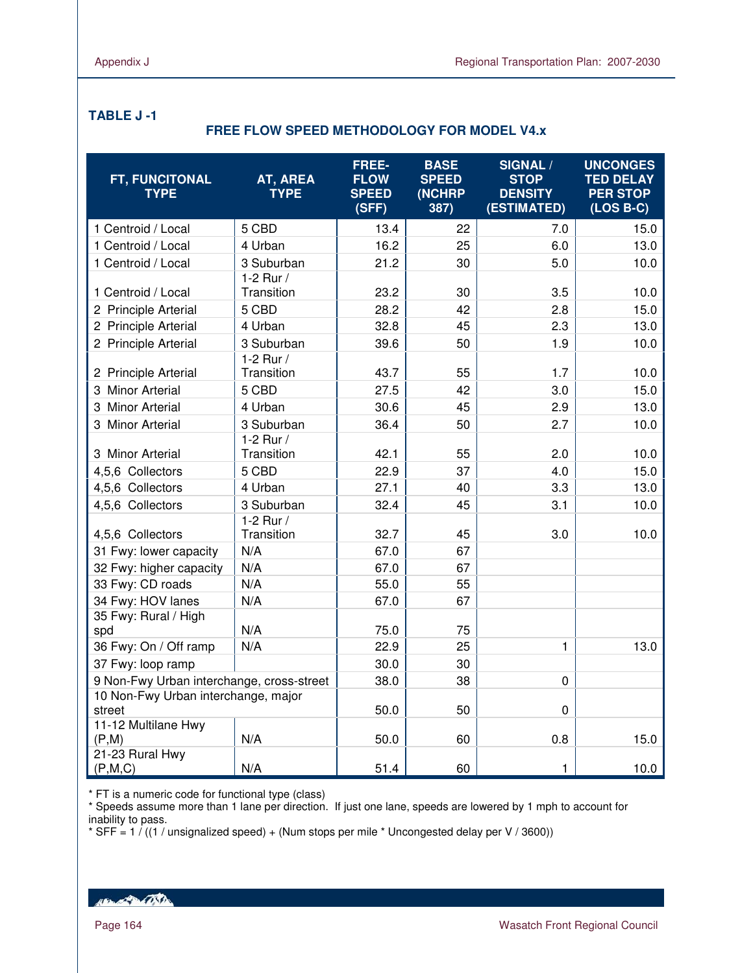$\overline{a}$ 

#### **TABLE J -1**

#### **FREE FLOW SPEED METHODOLOGY FOR MODEL V4.x**

| FT, FUNCITONAL<br><b>TYPE</b>                 | AT, AREA<br><b>TYPE</b>   | FREE-<br><b>FLOW</b><br><b>SPEED</b><br>(SFF) | <b>BASE</b><br><b>SPEED</b><br>(NCHRP<br>387) | <b>SIGNAL /</b><br><b>STOP</b><br><b>DENSITY</b><br>(ESTIMATED) | <b>UNCONGES</b><br><b>TED DELAY</b><br><b>PER STOP</b><br>$(LOS B-C)$ |
|-----------------------------------------------|---------------------------|-----------------------------------------------|-----------------------------------------------|-----------------------------------------------------------------|-----------------------------------------------------------------------|
| 1 Centroid / Local                            | 5 CBD                     | 13.4                                          | 22                                            | 7.0                                                             | 15.0                                                                  |
| 1 Centroid / Local                            | 4 Urban                   | 16.2                                          | 25                                            | 6.0                                                             | 13.0                                                                  |
| 1 Centroid / Local                            | 3 Suburban                | 21.2                                          | 30                                            | 5.0                                                             | 10.0                                                                  |
| 1 Centroid / Local                            | 1-2 Rur /<br>Transition   | 23.2                                          | 30                                            | 3.5                                                             | 10.0                                                                  |
| 2 Principle Arterial                          | 5 CBD                     | 28.2                                          | 42                                            | 2.8                                                             | 15.0                                                                  |
| 2 Principle Arterial                          | 4 Urban                   | 32.8                                          | 45                                            | 2.3                                                             | 13.0                                                                  |
| 2 Principle Arterial                          | 3 Suburban                | 39.6                                          | 50                                            | 1.9                                                             | 10.0                                                                  |
| 2 Principle Arterial                          | 1-2 Rur $/$<br>Transition | 43.7                                          | 55                                            | 1.7                                                             | 10.0                                                                  |
| 3 Minor Arterial                              | 5 CBD                     | 27.5                                          | 42                                            | 3.0                                                             | 15.0                                                                  |
| 3 Minor Arterial                              | 4 Urban                   | 30.6                                          | 45                                            | 2.9                                                             | 13.0                                                                  |
| 3 Minor Arterial                              | 3 Suburban                | 36.4                                          | 50                                            | 2.7                                                             | 10.0                                                                  |
| 3 Minor Arterial                              | 1-2 Rur /<br>Transition   | 42.1                                          | 55                                            | 2.0                                                             | 10.0                                                                  |
| 4,5,6 Collectors                              | 5 CBD                     | 22.9                                          | 37                                            | 4.0                                                             | 15.0                                                                  |
| 4,5,6 Collectors                              | 4 Urban                   | 27.1                                          | 40                                            | 3.3                                                             | 13.0                                                                  |
| 4,5,6 Collectors                              | 3 Suburban                | 32.4                                          | 45                                            | 3.1                                                             | 10.0                                                                  |
| 4,5,6 Collectors                              | 1-2 Rur $/$<br>Transition | 32.7                                          | 45                                            | 3.0                                                             | 10.0                                                                  |
| 31 Fwy: lower capacity                        | N/A                       | 67.0                                          | 67                                            |                                                                 |                                                                       |
| 32 Fwy: higher capacity                       | N/A                       | 67.0                                          | 67                                            |                                                                 |                                                                       |
| 33 Fwy: CD roads                              | N/A                       | 55.0                                          | 55                                            |                                                                 |                                                                       |
| 34 Fwy: HOV lanes                             | N/A                       | 67.0                                          | 67                                            |                                                                 |                                                                       |
| 35 Fwy: Rural / High<br>spd                   | N/A                       | 75.0                                          | 75                                            |                                                                 |                                                                       |
| 36 Fwy: On / Off ramp                         | N/A                       | 22.9                                          | 25                                            | $\mathbf{1}$                                                    | 13.0                                                                  |
| 37 Fwy: loop ramp                             |                           | 30.0                                          | 30                                            |                                                                 |                                                                       |
| 9 Non-Fwy Urban interchange, cross-street     |                           | 38.0                                          | 38                                            | $\mathbf 0$                                                     |                                                                       |
| 10 Non-Fwy Urban interchange, major<br>street |                           | 50.0                                          | 50                                            | 0                                                               |                                                                       |
| 11-12 Multilane Hwy                           |                           |                                               |                                               |                                                                 |                                                                       |
| (P,M)                                         | N/A                       | 50.0                                          | 60                                            | 0.8                                                             | 15.0                                                                  |
| 21-23 Rural Hwy<br>(P,M,C)                    | N/A                       | 51.4                                          | 60                                            | $\mathbf{1}$                                                    | 10.0                                                                  |

\* FT is a numeric code for functional type (class)

\* Speeds assume more than 1 lane per direction. If just one lane, speeds are lowered by 1 mph to account for inability to pass.

\* SFF =  $1/(1/$  unsignalized speed) + (Num stops per mile \* Uncongested delay per V / 3600))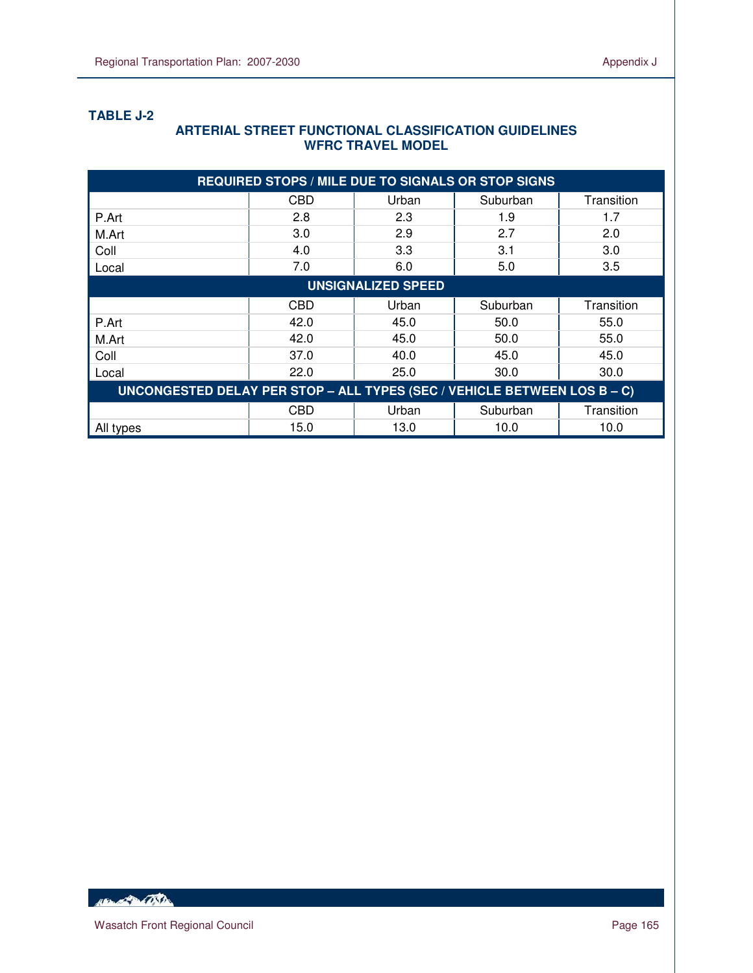### **TABLE J-2**

 $\overline{a}$ 

#### **ARTERIAL STREET FUNCTIONAL CLASSIFICATION GUIDELINES WFRC TRAVEL MODEL**

| <b>REQUIRED STOPS / MILE DUE TO SIGNALS OR STOP SIGNS</b>                |            |       |          |            |  |  |  |
|--------------------------------------------------------------------------|------------|-------|----------|------------|--|--|--|
|                                                                          | CBD        | Urban | Suburban | Transition |  |  |  |
| P.Art                                                                    | 2.8        | 2.3   | 1.9      | 1.7        |  |  |  |
| M.Art                                                                    | 3.0        | 2.9   | 2.7      | 2.0        |  |  |  |
| Coll                                                                     | 4.0        | 3.3   | 3.1      | 3.0        |  |  |  |
| Local                                                                    | 7.0        | 6.0   | 5.0      | 3.5        |  |  |  |
| <b>UNSIGNALIZED SPEED</b>                                                |            |       |          |            |  |  |  |
|                                                                          | <b>CBD</b> | Urban | Suburban | Transition |  |  |  |
| P.Art                                                                    | 42.0       | 45.0  | 50.0     | 55.0       |  |  |  |
| M.Art                                                                    | 42.0       | 45.0  | 50.0     | 55.0       |  |  |  |
| Coll                                                                     | 37.0       | 40.0  | 45.0     | 45.0       |  |  |  |
| Local                                                                    | 22.0       | 25.0  | 30.0     | 30.0       |  |  |  |
| UNCONGESTED DELAY PER STOP - ALL TYPES (SEC / VEHICLE BETWEEN LOS B - C) |            |       |          |            |  |  |  |
|                                                                          | CBD        | Urban | Suburban | Transition |  |  |  |
| All types                                                                | 15.0       | 13.0  | 10.0     | 10.0       |  |  |  |

Hand Bally